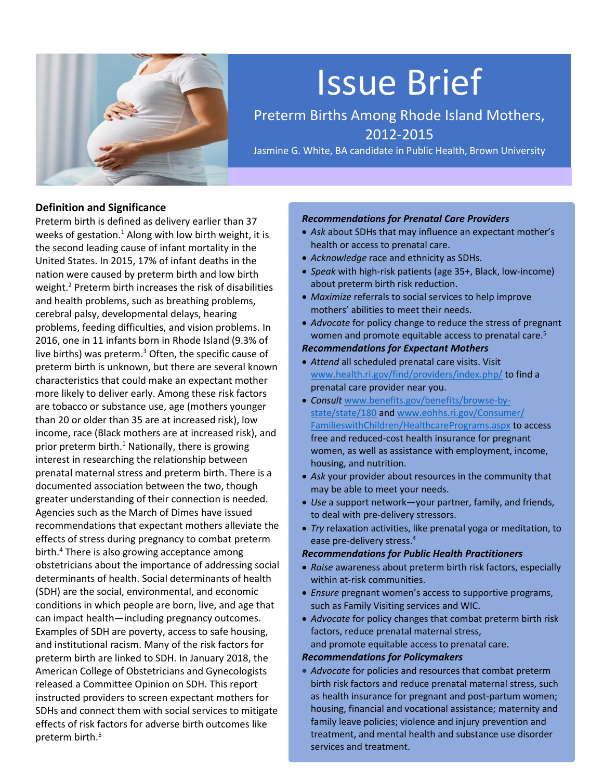

# Issue Brief

Preterm Births Among Rhode Island Mothers, 2012-2015

Jasmine G. White, BA candidate in Public Health, Brown University

## **Definition and Significance**

Preterm birth is defined as delivery earlier than 37 weeks of gestation. $1$  Along with low birth weight, it is the second leading cause of infant mortality in the United States. In 2015, 17% of infant deaths in the nation were caused by preterm birth and low birth weight.<sup>2</sup> Preterm birth increases the risk of disabilities and health problems, such as breathing problems, cerebral palsy, developmental delays, hearing problems, feeding difficulties, and vision problems. In 2016, one in 11 infants born in Rhode Island (9.3% of live births) was preterm. <sup>3</sup> Often, the specific cause of preterm birth is unknown, but there are several known characteristics that could make an expectant mother more likely to deliver early. Among these risk factors are tobacco or substance use, age (mothers younger than 20 or older than 35 are at increased risk), low income, race (Black mothers are at increased risk), and prior preterm birth.<sup>1</sup> Nationally, there is growing interest in researching the relationship between prenatal maternal stress and preterm birth. There is a documented association between the two, though greater understanding of their connection is needed. Agencies such as the March of Dimes have issued recommendations that expectant mothers alleviate the effects of stress during pregnancy to combat preterm birth.<sup>4</sup> There is also growing acceptance among obstetricians about the importance of addressing social determinants of health. Social determinants of health (SDH) are the social, environmental, and economic conditions in which people are born, live, and age that can impact health—including pregnancy outcomes. Examples of SDH are poverty, access to safe housing, and institutional racism. Many of the risk factors for preterm birth are linked to SDH. In January 2018, the American College of Obstetricians and Gynecologists released a Committee Opinion on SDH. This report instructed providers to screen expectant mothers for SDHs and connect them with social services to mitigate effects of risk factors for adverse birth outcomes like preterm birth.<sup>5</sup>

#### *Recommendations for Prenatal Care Providers*

- *Ask* about SDHs that may influence an expectant mother's health or access to prenatal care.
- *Acknowledge* race and ethnicity as SDHs.
- *Speak* with high-risk patients (age 35+, Black, low-income) about preterm birth risk reduction.
- *Maximize* referrals to social services to help improve mothers' abilities to meet their needs.
- *Advocate* for policy change to reduce the stress of pregnant women and promote equitable access to prenatal care.<sup>5</sup> *Recommendations for Expectant Mothers*
- *Attend* all scheduled prenatal care visits. Visit [www.health.ri.gov/find/providers/index.php/](http://www.health.ri.gov/find/providers/index.php/) to find a prenatal care provider near you.
- *Consult* [www.benefits.gov/benefits/browse-by](http://www.benefits.gov/benefits/browse-by-state/state/180)[state/state/180](http://www.benefits.gov/benefits/browse-by-state/state/180) an[d www.eohhs.ri.gov/Consumer/](http://www.eohhs.ri.gov/Consumer/%20FamilieswithChildren/HealthcarePrograms.aspx)  [FamilieswithChildren/HealthcarePrograms.aspx](http://www.eohhs.ri.gov/Consumer/%20FamilieswithChildren/HealthcarePrograms.aspx) to access free and reduced-cost health insurance for pregnant women, as well as assistance with employment, income, housing, and nutrition.
- *Ask* your provider about resources in the community that may be able to meet your needs.
- *Use* a support network—your partner, family, and friends, to deal with pre-delivery stressors.
- *Try* relaxation activities, like prenatal yoga or meditation, to ease pre-delivery stress.<sup>4</sup>

#### *Recommendations for Public Health Practitioners*

- *Raise* awareness about preterm birth risk factors, especially within at-risk communities.
- *Ensure* pregnant women's access to supportive programs, such as Family Visiting services and WIC.
- *Advocate* for policy changes that combat preterm birth risk factors, reduce prenatal maternal stress, and promote equitable access to prenatal care.

#### *Recommendations for Policymakers*

• *Advocate* for policies and resources that combat preterm birth risk factors and reduce prenatal maternal stress, such as health insurance for pregnant and post-partum women; housing, financial and vocational assistance; maternity and family leave policies; violence and injury prevention and treatment, and mental health and substance use disorder services and treatment.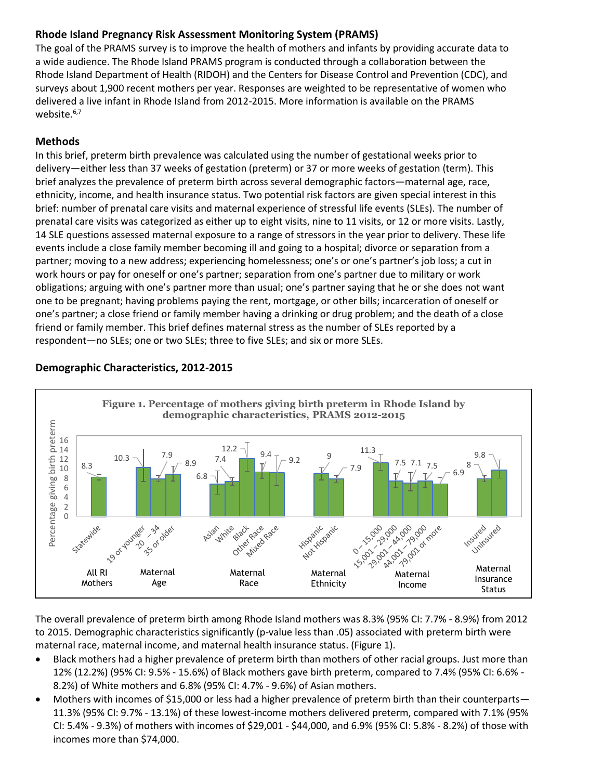# **Rhode Island Pregnancy Risk Assessment Monitoring System (PRAMS)**

The goal of the PRAMS survey is to improve the health of mothers and infants by providing accurate data to a wide audience. The Rhode Island PRAMS program is conducted through a collaboration between the Rhode Island Department of Health (RIDOH) and the Centers for Disease Control and Prevention (CDC), and surveys about 1,900 recent mothers per year. Responses are weighted to be representative of women who delivered a live infant in Rhode Island from 2012-2015. More information is available on the PRAMS website.<sup>6,7</sup>

## **Methods**

In this brief, preterm birth prevalence was calculated using the number of gestational weeks prior to delivery—either less than 37 weeks of gestation (preterm) or 37 or more weeks of gestation (term). This brief analyzes the prevalence of preterm birth across several demographic factors—maternal age, race, ethnicity, income, and health insurance status. Two potential risk factors are given special interest in this brief: number of prenatal care visits and maternal experience of stressful life events (SLEs). The number of prenatal care visits was categorized as either up to eight visits, nine to 11 visits, or 12 or more visits. Lastly, 14 SLE questions assessed maternal exposure to a range of stressors in the year prior to delivery. These life events include a close family member becoming ill and going to a hospital; divorce or separation from a partner; moving to a new address; experiencing homelessness; one's or one's partner's job loss; a cut in work hours or pay for oneself or one's partner; separation from one's partner due to military or work obligations; arguing with one's partner more than usual; one's partner saying that he or she does not want one to be pregnant; having problems paying the rent, mortgage, or other bills; incarceration of oneself or one's partner; a close friend or family member having a drinking or drug problem; and the death of a close friend or family member. This brief defines maternal stress as the number of SLEs reported by a respondent—no SLEs; one or two SLEs; three to five SLEs; and six or more SLEs.



## **Demographic Characteristics, 2012-2015**

The overall prevalence of preterm birth among Rhode Island mothers was 8.3% (95% CI: 7.7% - 8.9%) from 2012 to 2015. Demographic characteristics significantly (p-value less than .05) associated with preterm birth were maternal race, maternal income, and maternal health insurance status. (Figure 1).

- Black mothers had a higher prevalence of preterm birth than mothers of other racial groups. Just more than 12% (12.2%) (95% CI: 9.5% - 15.6%) of Black mothers gave birth preterm, compared to 7.4% (95% CI: 6.6% - 8.2%) of White mothers and 6.8% (95% CI: 4.7% - 9.6%) of Asian mothers.
- Mothers with incomes of \$15,000 or less had a higher prevalence of preterm birth than their counterparts— 11.3% (95% CI: 9.7% - 13.1%) of these lowest-income mothers delivered preterm, compared with 7.1% (95% CI: 5.4% - 9.3%) of mothers with incomes of \$29,001 - \$44,000, and 6.9% (95% CI: 5.8% - 8.2%) of those with incomes more than \$74,000.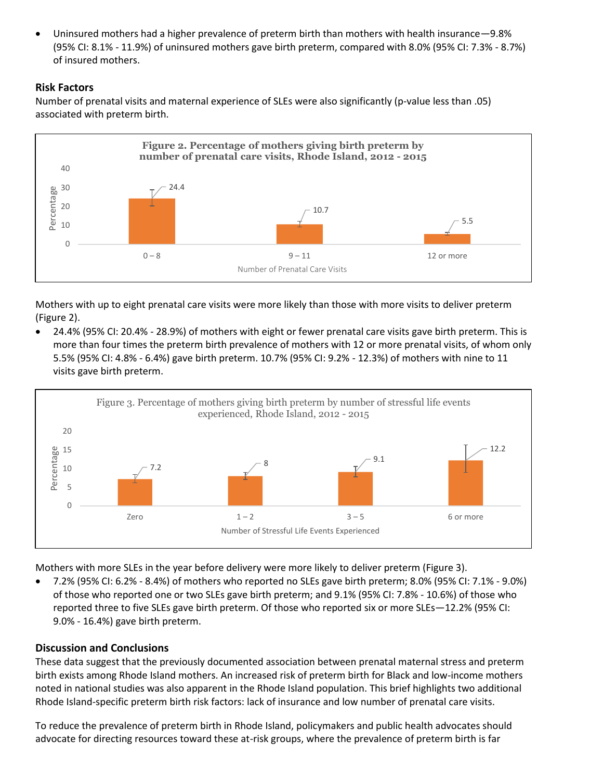• Uninsured mothers had a higher prevalence of preterm birth than mothers with health insurance—9.8% (95% CI: 8.1% - 11.9%) of uninsured mothers gave birth preterm, compared with 8.0% (95% CI: 7.3% - 8.7%) of insured mothers.

# **Risk Factors**

Number of prenatal visits and maternal experience of SLEs were also significantly (p-value less than .05) associated with preterm birth.



Mothers with up to eight prenatal care visits were more likely than those with more visits to deliver preterm (Figure 2).

• 24.4% (95% CI: 20.4% - 28.9%) of mothers with eight or fewer prenatal care visits gave birth preterm. This is more than four times the preterm birth prevalence of mothers with 12 or more prenatal visits, of whom only 5.5% (95% CI: 4.8% - 6.4%) gave birth preterm. 10.7% (95% CI: 9.2% - 12.3%) of mothers with nine to 11 visits gave birth preterm.



Mothers with more SLEs in the year before delivery were more likely to deliver preterm (Figure 3).

• 7.2% (95% CI: 6.2% - 8.4%) of mothers who reported no SLEs gave birth preterm; 8.0% (95% CI: 7.1% - 9.0%) of those who reported one or two SLEs gave birth preterm; and 9.1% (95% CI: 7.8% - 10.6%) of those who reported three to five SLEs gave birth preterm. Of those who reported six or more SLEs—12.2% (95% CI: 9.0% - 16.4%) gave birth preterm.

# **Discussion and Conclusions**

These data suggest that the previously documented association between prenatal maternal stress and preterm birth exists among Rhode Island mothers. An increased risk of preterm birth for Black and low-income mothers noted in national studies was also apparent in the Rhode Island population. This brief highlights two additional Rhode Island-specific preterm birth risk factors: lack of insurance and low number of prenatal care visits.

To reduce the prevalence of preterm birth in Rhode Island, policymakers and public health advocates should advocate for directing resources toward these at-risk groups, where the prevalence of preterm birth is far